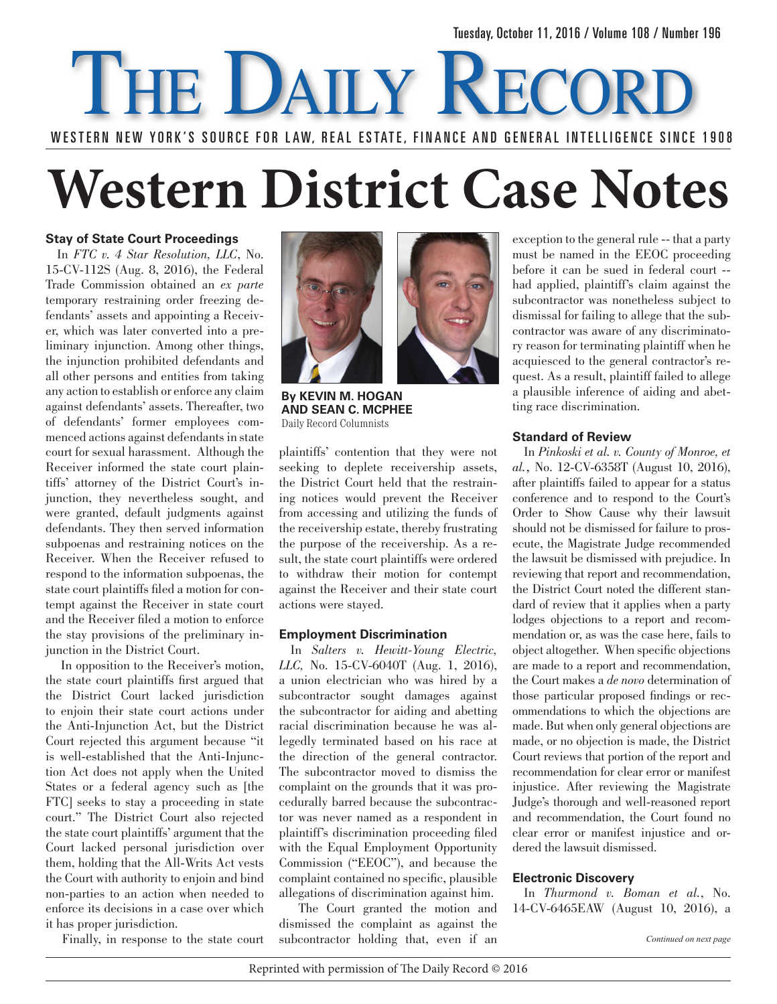# WESTERN NEW YORK'S SOURCE FOR LAW, REAL ESTATE, FINANCE AND GENERAL INTELLIGENCE SINCE 1908 THE DAILY RECOR

# **Western District Case Notes**

## **Stay of State Court Proceedings**

In *FTC v. 4 Star Resolution, LLC*, No. 15-CV-112S (Aug. 8, 2016), the Federal Trade Commission obtained an *ex parte*  temporary restraining order freezing defendants' assets and appointing a Receiver, which was later converted into a preliminary injunction. Among other things, the injunction prohibited defendants and all other persons and entities from taking any action to establish or enforce any claim against defendants' assets. Thereafter, two of defendants' former employees commenced actions against defendants in state court for sexual harassment. Although the Receiver informed the state court plaintiffs' attorney of the District Court's injunction, they nevertheless sought, and were granted, default judgments against defendants. They then served information subpoenas and restraining notices on the Receiver. When the Receiver refused to respond to the information subpoenas, the state court plaintiffs filed a motion for contempt against the Receiver in state court and the Receiver filed a motion to enforce the stay provisions of the preliminary injunction in the District Court.

 In opposition to the Receiver's motion, the state court plaintiffs first argued that the District Court lacked jurisdiction to enjoin their state court actions under the Anti-Injunction Act, but the District Court rejected this argument because "it is well-established that the Anti-Injunction Act does not apply when the United States or a federal agency such as [the FTC] seeks to stay a proceeding in state court." The District Court also rejected the state court plaintiffs' argument that the Court lacked personal jurisdiction over them, holding that the All-Writs Act vests the Court with authority to enjoin and bind non-parties to an action when needed to enforce its decisions in a case over which it has proper jurisdiction.

Finally, in response to the state court



**By Kevin M. Hogan and Sean C. McPhee**  Daily Record Columnists

plaintiffs' contention that they were not seeking to deplete receivership assets, the District Court held that the restraining notices would prevent the Receiver from accessing and utilizing the funds of the receivership estate, thereby frustrating the purpose of the receivership. As a result, the state court plaintiffs were ordered to withdraw their motion for contempt against the Receiver and their state court actions were stayed.

## **Employment Discrimination**

In *Salters v. Hewitt-Young Electric, LLC,* No. 15-CV-6040T (Aug. 1, 2016), a union electrician who was hired by a subcontractor sought damages against the subcontractor for aiding and abetting racial discrimination because he was allegedly terminated based on his race at the direction of the general contractor. The subcontractor moved to dismiss the complaint on the grounds that it was procedurally barred because the subcontractor was never named as a respondent in plaintiff's discrimination proceeding filed with the Equal Employment Opportunity Commission ("EEOC"), and because the complaint contained no specific, plausible allegations of discrimination against him.

 The Court granted the motion and dismissed the complaint as against the subcontractor holding that, even if an exception to the general rule -- that a party must be named in the EEOC proceeding before it can be sued in federal court - had applied, plaintiff's claim against the subcontractor was nonetheless subject to dismissal for failing to allege that the subcontractor was aware of any discriminatory reason for terminating plaintiff when he acquiesced to the general contractor's request. As a result, plaintiff failed to allege a plausible inference of aiding and abetting race discrimination.

## **Standard of Review**

In *Pinkoski et al. v. County of Monroe, et al.,* No. 12-CV-6358T (August 10, 2016), after plaintiffs failed to appear for a status conference and to respond to the Court's Order to Show Cause why their lawsuit should not be dismissed for failure to prosecute, the Magistrate Judge recommended the lawsuit be dismissed with prejudice. In reviewing that report and recommendation, the District Court noted the different standard of review that it applies when a party lodges objections to a report and recommendation or, as was the case here, fails to object altogether. When specific objections are made to a report and recommendation, the Court makes a *de novo* determination of those particular proposed findings or recommendations to which the objections are made. But when only general objections are made, or no objection is made, the District Court reviews that portion of the report and recommendation for clear error or manifest injustice. After reviewing the Magistrate Judge's thorough and well-reasoned report and recommendation, the Court found no clear error or manifest injustice and ordered the lawsuit dismissed.

## **Electronic Discovery**

In *Thurmond v. Boman et al.*, No. 14-CV-6465EAW (August 10, 2016), a